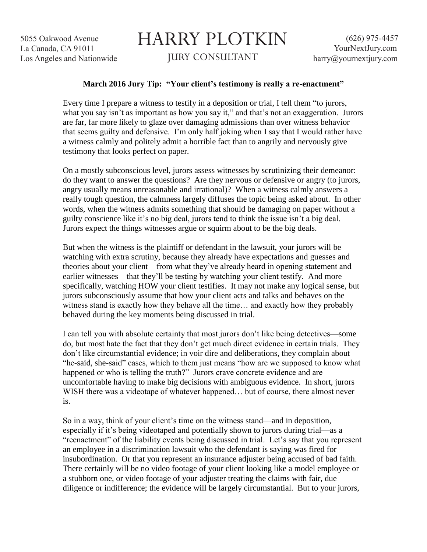5055 Oakwood Avenue La Canada, CA 91011 Los Angeles and Nationwide

## HARRY PLOTKIN JURY CONSULTANT

## **March 2016 Jury Tip: "Your client's testimony is really a re-enactment"**

Every time I prepare a witness to testify in a deposition or trial, I tell them "to jurors, what you say isn't as important as how you say it," and that's not an exaggeration. Jurors are far, far more likely to glaze over damaging admissions than over witness behavior that seems guilty and defensive. I'm only half joking when I say that I would rather have a witness calmly and politely admit a horrible fact than to angrily and nervously give testimony that looks perfect on paper.

On a mostly subconscious level, jurors assess witnesses by scrutinizing their demeanor: do they want to answer the questions? Are they nervous or defensive or angry (to jurors, angry usually means unreasonable and irrational)? When a witness calmly answers a really tough question, the calmness largely diffuses the topic being asked about. In other words, when the witness admits something that should be damaging on paper without a guilty conscience like it's no big deal, jurors tend to think the issue isn't a big deal. Jurors expect the things witnesses argue or squirm about to be the big deals.

But when the witness is the plaintiff or defendant in the lawsuit, your jurors will be watching with extra scrutiny, because they already have expectations and guesses and theories about your client—from what they've already heard in opening statement and earlier witnesses—that they'll be testing by watching your client testify. And more specifically, watching HOW your client testifies. It may not make any logical sense, but jurors subconsciously assume that how your client acts and talks and behaves on the witness stand is exactly how they behave all the time… and exactly how they probably behaved during the key moments being discussed in trial.

I can tell you with absolute certainty that most jurors don't like being detectives—some do, but most hate the fact that they don't get much direct evidence in certain trials. They don't like circumstantial evidence; in voir dire and deliberations, they complain about "he-said, she-said" cases, which to them just means "how are we supposed to know what happened or who is telling the truth?" Jurors crave concrete evidence and are uncomfortable having to make big decisions with ambiguous evidence. In short, jurors WISH there was a videotape of whatever happened... but of course, there almost never is.

So in a way, think of your client's time on the witness stand—and in deposition, especially if it's being videotaped and potentially shown to jurors during trial—as a "reenactment" of the liability events being discussed in trial. Let's say that you represent an employee in a discrimination lawsuit who the defendant is saying was fired for insubordination. Or that you represent an insurance adjuster being accused of bad faith. There certainly will be no video footage of your client looking like a model employee or a stubborn one, or video footage of your adjuster treating the claims with fair, due diligence or indifference; the evidence will be largely circumstantial. But to your jurors,